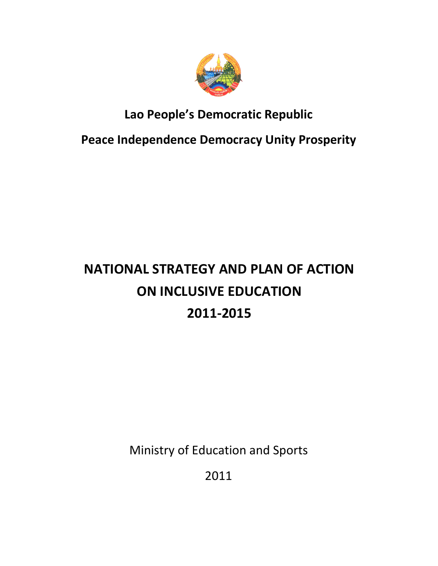

# Lao People's Democratic Republic

Peace Independence Democracy Unity Prosperity

# NATIONAL STRATEGY AND PLAN OF ACTION ON INCLUSIVE EDUCATION 2011-2015

Ministry of Education and Sports

2011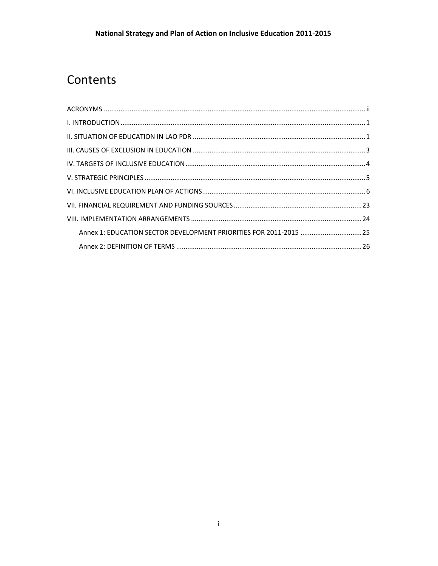# Contents

| Annex 1: EDUCATION SECTOR DEVELOPMENT PRIORITIES FOR 2011-2015 25 |  |
|-------------------------------------------------------------------|--|
|                                                                   |  |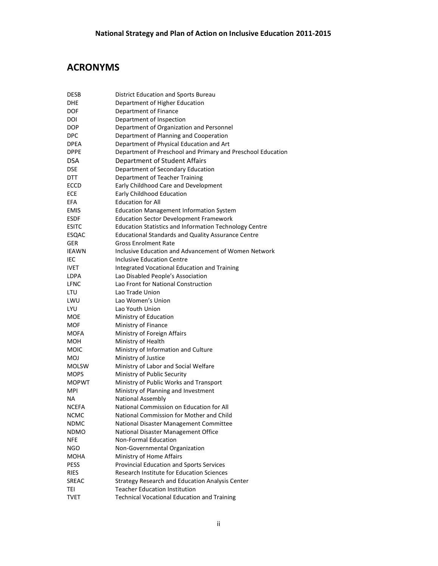# ACRONYMS

| <b>DESB</b>  | <b>District Education and Sports Bureau</b>                   |
|--------------|---------------------------------------------------------------|
| <b>DHE</b>   | Department of Higher Education                                |
| <b>DOF</b>   | Department of Finance                                         |
| DOI          | Department of Inspection                                      |
| <b>DOP</b>   | Department of Organization and Personnel                      |
| <b>DPC</b>   | Department of Planning and Cooperation                        |
| <b>DPEA</b>  | Department of Physical Education and Art                      |
| <b>DPPE</b>  | Department of Preschool and Primary and Preschool Education   |
| <b>DSA</b>   | Department of Student Affairs                                 |
| <b>DSE</b>   | Department of Secondary Education                             |
| <b>DTT</b>   | Department of Teacher Training                                |
| ECCD         | Early Childhood Care and Development                          |
| ECE          | Early Childhood Education                                     |
| <b>EFA</b>   | <b>Education for All</b>                                      |
| <b>EMIS</b>  | <b>Education Management Information System</b>                |
| <b>ESDF</b>  | <b>Education Sector Development Framework</b>                 |
| <b>ESITC</b> | <b>Education Statistics and Information Technology Centre</b> |
| ESQAC        | <b>Educational Standards and Quality Assurance Centre</b>     |
| <b>GER</b>   | Gross Enrolment Rate                                          |
| <b>IEAWN</b> | Inclusive Education and Advancement of Women Network          |
| IEC          | <b>Inclusive Education Centre</b>                             |
| <b>IVET</b>  | Integrated Vocational Education and Training                  |
| <b>LDPA</b>  | Lao Disabled People's Association                             |
| LFNC         | Lao Front for National Construction                           |
| LTU          | Lao Trade Union                                               |
| LWU          | Lao Women's Union                                             |
| <b>LYU</b>   | Lao Youth Union                                               |
| MOE          | Ministry of Education                                         |
| MOF          | Ministry of Finance                                           |
| <b>MOFA</b>  | Ministry of Foreign Affairs                                   |
| MOH          | Ministry of Health                                            |
| MOIC         | Ministry of Information and Culture                           |
| <b>MOJ</b>   | Ministry of Justice                                           |
| <b>MOLSW</b> | Ministry of Labor and Social Welfare                          |
| <b>MOPS</b>  | Ministry of Public Security                                   |
| <b>MOPWT</b> | Ministry of Public Works and Transport                        |
| <b>MPI</b>   | Ministry of Planning and Investment                           |
| <b>NA</b>    | National Assembly                                             |
| <b>NCEFA</b> | National Commission on Education for All                      |
| <b>NCMC</b>  | National Commission for Mother and Child                      |
| NDMC         | National Disaster Management Committee                        |
| <b>NDMO</b>  | National Disaster Management Office                           |
| <b>NFE</b>   | <b>Non-Formal Education</b>                                   |
| NGO          | Non-Governmental Organization                                 |
| MOHA         | Ministry of Home Affairs                                      |
| <b>PESS</b>  | Provincial Education and Sports Services                      |
| <b>RIES</b>  | Research Institute for Education Sciences                     |
| <b>SREAC</b> | Strategy Research and Education Analysis Center               |
| TEI          | <b>Teacher Education Institution</b>                          |
| <b>TVET</b>  | <b>Technical Vocational Education and Training</b>            |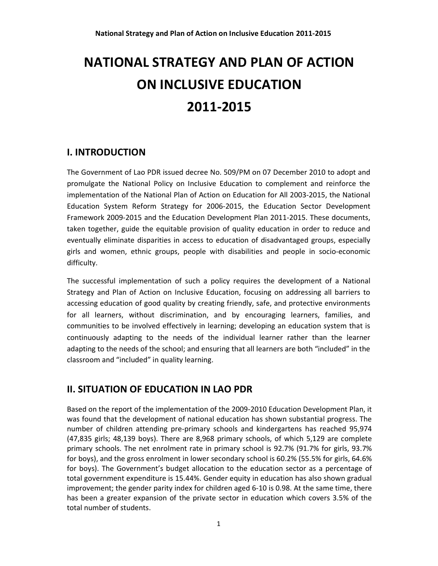# NATIONAL STRATEGY AND PLAN OF ACTION ON INCLUSIVE EDUCATION 2011-2015

# I. INTRODUCTION

The Government of Lao PDR issued decree No. 509/PM on 07 December 2010 to adopt and promulgate the National Policy on Inclusive Education to complement and reinforce the implementation of the National Plan of Action on Education for All 2003-2015, the National Education System Reform Strategy for 2006-2015, the Education Sector Development Framework 2009-2015 and the Education Development Plan 2011-2015. These documents, taken together, guide the equitable provision of quality education in order to reduce and eventually eliminate disparities in access to education of disadvantaged groups, especially girls and women, ethnic groups, people with disabilities and people in socio-economic difficulty.

The successful implementation of such a policy requires the development of a National Strategy and Plan of Action on Inclusive Education, focusing on addressing all barriers to accessing education of good quality by creating friendly, safe, and protective environments for all learners, without discrimination, and by encouraging learners, families, and communities to be involved effectively in learning; developing an education system that is continuously adapting to the needs of the individual learner rather than the learner adapting to the needs of the school; and ensuring that all learners are both "included" in the classroom and "included" in quality learning.

# II. SITUATION OF EDUCATION IN LAO PDR

Based on the report of the implementation of the 2009-2010 Education Development Plan, it was found that the development of national education has shown substantial progress. The number of children attending pre-primary schools and kindergartens has reached 95,974 (47,835 girls; 48,139 boys). There are 8,968 primary schools, of which 5,129 are complete primary schools. The net enrolment rate in primary school is 92.7% (91.7% for girls, 93.7% for boys), and the gross enrolment in lower secondary school is 60.2% (55.5% for girls, 64.6% for boys). The Government's budget allocation to the education sector as a percentage of total government expenditure is 15.44%. Gender equity in education has also shown gradual improvement; the gender parity index for children aged 6-10 is 0.98. At the same time, there has been a greater expansion of the private sector in education which covers 3.5% of the total number of students.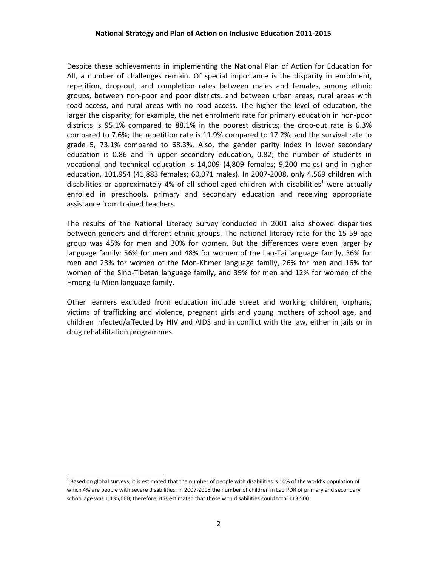Despite these achievements in implementing the National Plan of Action for Education for All, a number of challenges remain. Of special importance is the disparity in enrolment, repetition, drop-out, and completion rates between males and females, among ethnic groups, between non-poor and poor districts, and between urban areas, rural areas with road access, and rural areas with no road access. The higher the level of education, the larger the disparity; for example, the net enrolment rate for primary education in non-poor districts is 95.1% compared to 88.1% in the poorest districts; the drop-out rate is 6.3% compared to 7.6%; the repetition rate is 11.9% compared to 17.2%; and the survival rate to grade 5, 73.1% compared to 68.3%. Also, the gender parity index in lower secondary education is 0.86 and in upper secondary education, 0.82; the number of students in vocational and technical education is 14,009 (4,809 females; 9,200 males) and in higher education, 101,954 (41,883 females; 60,071 males). In 2007-2008, only 4,569 children with disabilities or approximately 4% of all school-aged children with disabilities<sup>1</sup> were actually enrolled in preschools, primary and secondary education and receiving appropriate assistance from trained teachers.

The results of the National Literacy Survey conducted in 2001 also showed disparities between genders and different ethnic groups. The national literacy rate for the 15-59 age group was 45% for men and 30% for women. But the differences were even larger by language family: 56% for men and 48% for women of the Lao-Tai language family, 36% for men and 23% for women of the Mon-Khmer language family, 26% for men and 16% for women of the Sino-Tibetan language family, and 39% for men and 12% for women of the Hmong-Iu-Mien language family.

Other learners excluded from education include street and working children, orphans, victims of trafficking and violence, pregnant girls and young mothers of school age, and children infected/affected by HIV and AIDS and in conflict with the law, either in jails or in drug rehabilitation programmes.

l,

 $^1$  Based on global surveys, it is estimated that the number of people with disabilities is 10% of the world's population of which 4% are people with severe disabilities. In 2007-2008 the number of children in Lao PDR of primary and secondary school age was 1,135,000; therefore, it is estimated that those with disabilities could total 113,500.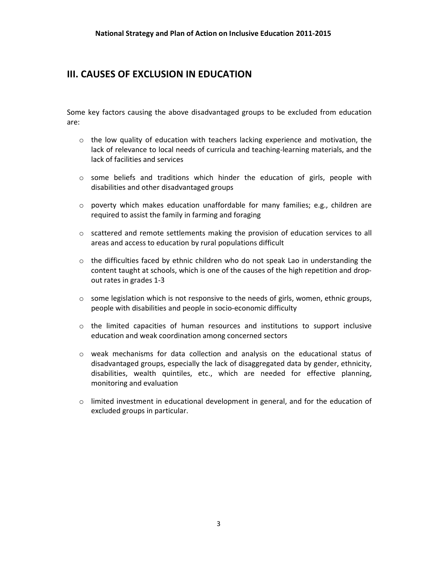# III. CAUSES OF EXCLUSION IN EDUCATION

Some key factors causing the above disadvantaged groups to be excluded from education are:

- $\circ$  the low quality of education with teachers lacking experience and motivation, the lack of relevance to local needs of curricula and teaching-learning materials, and the lack of facilities and services
- $\circ$  some beliefs and traditions which hinder the education of girls, people with disabilities and other disadvantaged groups
- $\circ$  poverty which makes education unaffordable for many families; e.g., children are required to assist the family in farming and foraging
- $\circ$  scattered and remote settlements making the provision of education services to all areas and access to education by rural populations difficult
- $\circ$  the difficulties faced by ethnic children who do not speak Lao in understanding the content taught at schools, which is one of the causes of the high repetition and dropout rates in grades 1-3
- $\circ$  some legislation which is not responsive to the needs of girls, women, ethnic groups, people with disabilities and people in socio-economic difficulty
- $\circ$  the limited capacities of human resources and institutions to support inclusive education and weak coordination among concerned sectors
- o weak mechanisms for data collection and analysis on the educational status of disadvantaged groups, especially the lack of disaggregated data by gender, ethnicity, disabilities, wealth quintiles, etc., which are needed for effective planning, monitoring and evaluation
- $\circ$  limited investment in educational development in general, and for the education of excluded groups in particular.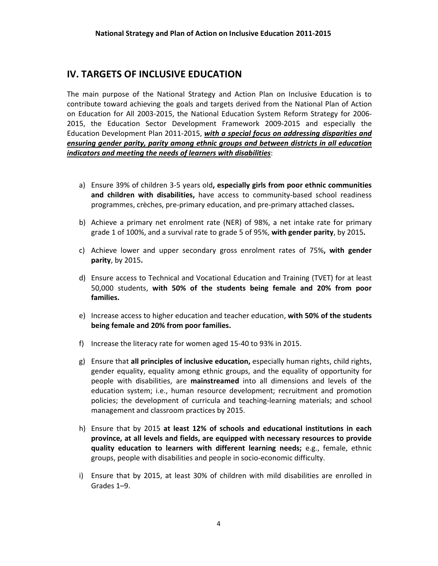# IV. TARGETS OF INCLUSIVE EDUCATION

The main purpose of the National Strategy and Action Plan on Inclusive Education is to contribute toward achieving the goals and targets derived from the National Plan of Action on Education for All 2003-2015, the National Education System Reform Strategy for 2006- 2015, the Education Sector Development Framework 2009-2015 and especially the Education Development Plan 2011-2015, with a special focus on addressing disparities and ensuring gender parity, parity among ethnic groups and between districts in all education indicators and meeting the needs of learners with disabilities:

- a) Ensure 39% of children 3-5 years old, especially girls from poor ethnic communities and children with disabilities, have access to community-based school readiness programmes, crèches, pre-primary education, and pre-primary attached classes.
- b) Achieve a primary net enrolment rate (NER) of 98%, a net intake rate for primary grade 1 of 100%, and a survival rate to grade 5 of 95%, with gender parity, by 2015.
- c) Achieve lower and upper secondary gross enrolment rates of 75%, with gender parity, by 2015.
- d) Ensure access to Technical and Vocational Education and Training (TVET) for at least 50,000 students, with 50% of the students being female and 20% from poor families.
- e) Increase access to higher education and teacher education, with 50% of the students being female and 20% from poor families.
- f) Increase the literacy rate for women aged 15-40 to 93% in 2015.
- g) Ensure that all principles of inclusive education, especially human rights, child rights, gender equality, equality among ethnic groups, and the equality of opportunity for people with disabilities, are mainstreamed into all dimensions and levels of the education system; i.e., human resource development; recruitment and promotion policies; the development of curricula and teaching-learning materials; and school management and classroom practices by 2015.
- h) Ensure that by 2015 at least 12% of schools and educational institutions in each province, at all levels and fields, are equipped with necessary resources to provide quality education to learners with different learning needs; e.g., female, ethnic groups, people with disabilities and people in socio-economic difficulty.
- i) Ensure that by 2015, at least 30% of children with mild disabilities are enrolled in Grades 1–9.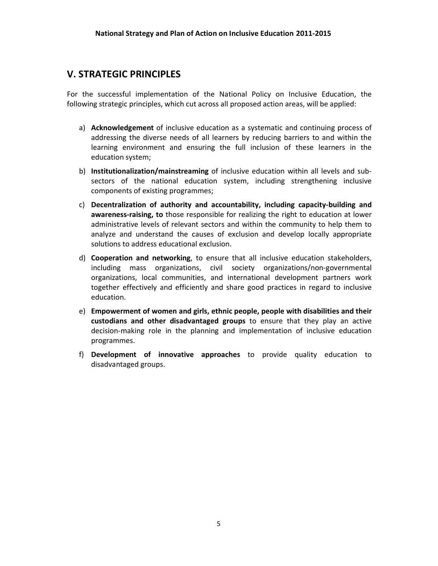### V. STRATEGIC PRINCIPLES

For the successful implementation of the National Policy on Inclusive Education, the following strategic principles, which cut across all proposed action areas, will be applied:

- a) Acknowledgement of inclusive education as a systematic and continuing process of addressing the diverse needs of all learners by reducing barriers to and within the learning environment and ensuring the full inclusion of these learners in the education system;
- b) Institutionalization/mainstreaming of inclusive education within all levels and subsectors of the national education system, including strengthening inclusive components of existing programmes;
- c) Decentralization of authority and accountability, including capacity-building and awareness-raising, to those responsible for realizing the right to education at lower administrative levels of relevant sectors and within the community to help them to analyze and understand the causes of exclusion and develop locally appropriate solutions to address educational exclusion.
- d) Cooperation and networking, to ensure that all inclusive education stakeholders, including mass organizations, civil society organizations/non-governmental organizations, local communities, and international development partners work together effectively and efficiently and share good practices in regard to inclusive education.
- e) Empowerment of women and girls, ethnic people, people with disabilities and their custodians and other disadvantaged groups to ensure that they play an active decision-making role in the planning and implementation of inclusive education programmes.
- f) Development of innovative approaches to provide quality education to disadvantaged groups.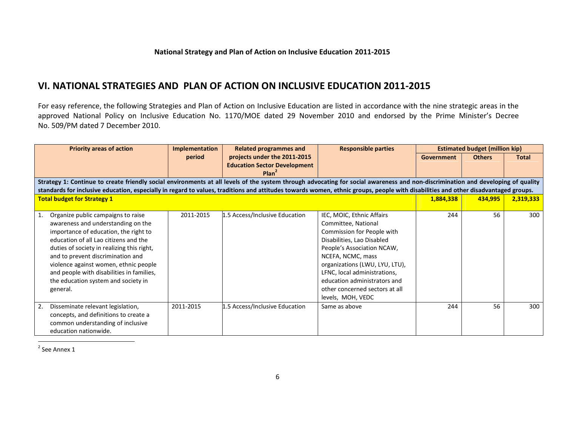#### VI. NATIONAL STRATEGIES AND PLAN OF ACTION ON INCLUSIVE EDUCATION 2011-2015

For easy reference, the following Strategies and Plan of Action on Inclusive Education are listed in accordance with the nine strategic areas in the approved National Policy on Inclusive Education No. 1170/MOE dated 29 November 2010 and endorsed by the Prime Minister's Decree No. 509/PM dated 7 December 2010.

| <b>Priority areas of action</b>                                                                                                                                                    | <b>Implementation</b> | <b>Related programmes and</b>       | <b>Responsible parties</b>     |            | <b>Estimated budget (million kip)</b> |              |
|------------------------------------------------------------------------------------------------------------------------------------------------------------------------------------|-----------------------|-------------------------------------|--------------------------------|------------|---------------------------------------|--------------|
|                                                                                                                                                                                    | period                | projects under the 2011-2015        |                                | Government | <b>Others</b>                         | <b>Total</b> |
|                                                                                                                                                                                    |                       | <b>Education Sector Development</b> |                                |            |                                       |              |
|                                                                                                                                                                                    |                       | Plan <sup>2</sup>                   |                                |            |                                       |              |
| Strategy 1: Continue to create friendly social environments at all levels of the system through advocating for social awareness and non-discrimination and developing of quality   |                       |                                     |                                |            |                                       |              |
| standards for inclusive education, especially in regard to values, traditions and attitudes towards women, ethnic groups, people with disabilities and other disadvantaged groups. |                       |                                     |                                |            |                                       |              |
| <b>Total budget for Strategy 1</b>                                                                                                                                                 |                       |                                     |                                | 1,884,338  | 434,995                               | 2,319,333    |
|                                                                                                                                                                                    |                       |                                     |                                |            |                                       |              |
| Organize public campaigns to raise                                                                                                                                                 | 2011-2015             | 1.5 Access/Inclusive Education      | IEC, MOIC, Ethnic Affairs      | 244        | 56                                    | 300          |
| awareness and understanding on the                                                                                                                                                 |                       |                                     | Committee, National            |            |                                       |              |
| importance of education, the right to                                                                                                                                              |                       |                                     | Commission for People with     |            |                                       |              |
| education of all Lao citizens and the                                                                                                                                              |                       |                                     | Disabilities, Lao Disabled     |            |                                       |              |
| duties of society in realizing this right,                                                                                                                                         |                       |                                     | People's Association NCAW,     |            |                                       |              |
| and to prevent discrimination and                                                                                                                                                  |                       |                                     | NCEFA, NCMC, mass              |            |                                       |              |
| violence against women, ethnic people                                                                                                                                              |                       |                                     | organizations (LWU, LYU, LTU), |            |                                       |              |
| and people with disabilities in families,                                                                                                                                          |                       |                                     | LFNC, local administrations,   |            |                                       |              |
| the education system and society in                                                                                                                                                |                       |                                     | education administrators and   |            |                                       |              |
| general.                                                                                                                                                                           |                       |                                     | other concerned sectors at all |            |                                       |              |
|                                                                                                                                                                                    |                       |                                     | levels, MOH, VEDC              |            |                                       |              |
| 2.<br>Disseminate relevant legislation,                                                                                                                                            | 2011-2015             | 1.5 Access/Inclusive Education      | Same as above                  | 244        | 56                                    | 300          |
| concepts, and definitions to create a                                                                                                                                              |                       |                                     |                                |            |                                       |              |
| common understanding of inclusive                                                                                                                                                  |                       |                                     |                                |            |                                       |              |
| education nationwide.                                                                                                                                                              |                       |                                     |                                |            |                                       |              |

 $2$  See Annex 1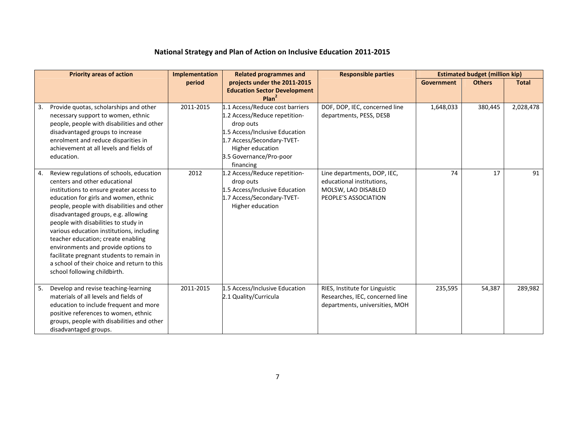|    | <b>Priority areas of action</b>                                                                                                                                                                                                                                                                                                                                                                                                                                                                                                                   | Implementation | <b>Related programmes and</b>                                                                                                                                                                             | <b>Responsible parties</b>                                                                              |            | <b>Estimated budget (million kip)</b> |              |
|----|---------------------------------------------------------------------------------------------------------------------------------------------------------------------------------------------------------------------------------------------------------------------------------------------------------------------------------------------------------------------------------------------------------------------------------------------------------------------------------------------------------------------------------------------------|----------------|-----------------------------------------------------------------------------------------------------------------------------------------------------------------------------------------------------------|---------------------------------------------------------------------------------------------------------|------------|---------------------------------------|--------------|
|    |                                                                                                                                                                                                                                                                                                                                                                                                                                                                                                                                                   | period         | projects under the 2011-2015<br><b>Education Sector Development</b><br>Plan <sup>2</sup>                                                                                                                  |                                                                                                         | Government | <b>Others</b>                         | <b>Total</b> |
| 3. | Provide quotas, scholarships and other<br>necessary support to women, ethnic<br>people, people with disabilities and other<br>disadvantaged groups to increase<br>enrolment and reduce disparities in<br>achievement at all levels and fields of<br>education.                                                                                                                                                                                                                                                                                    | 2011-2015      | 1.1 Access/Reduce cost barriers<br>1.2 Access/Reduce repetition-<br>drop outs<br>1.5 Access/Inclusive Education<br>1.7 Access/Secondary-TVET-<br>Higher education<br>3.5 Governance/Pro-poor<br>financing | DOF, DOP, IEC, concerned line<br>departments, PESS, DESB                                                | 1,648,033  | 380,445                               | 2,028,478    |
| 4. | Review regulations of schools, education<br>centers and other educational<br>institutions to ensure greater access to<br>education for girls and women, ethnic<br>people, people with disabilities and other<br>disadvantaged groups, e.g. allowing<br>people with disabilities to study in<br>various education institutions, including<br>teacher education; create enabling<br>environments and provide options to<br>facilitate pregnant students to remain in<br>a school of their choice and return to this<br>school following childbirth. | 2012           | 1.2 Access/Reduce repetition-<br>drop outs<br>1.5 Access/Inclusive Education<br>1.7 Access/Secondary-TVET-<br>Higher education                                                                            | Line departments, DOP, IEC,<br>educational institutions,<br>MOLSW, LAO DISABLED<br>PEOPLE'S ASSOCIATION | 74         | 17                                    | 91           |
| 5. | Develop and revise teaching-learning<br>materials of all levels and fields of<br>education to include frequent and more<br>positive references to women, ethnic<br>groups, people with disabilities and other<br>disadvantaged groups.                                                                                                                                                                                                                                                                                                            | 2011-2015      | 1.5 Access/Inclusive Education<br>2.1 Quality/Curricula                                                                                                                                                   | RIES, Institute for Linguistic<br>Researches, IEC, concerned line<br>departments, universities, MOH     | 235,595    | 54,387                                | 289,982      |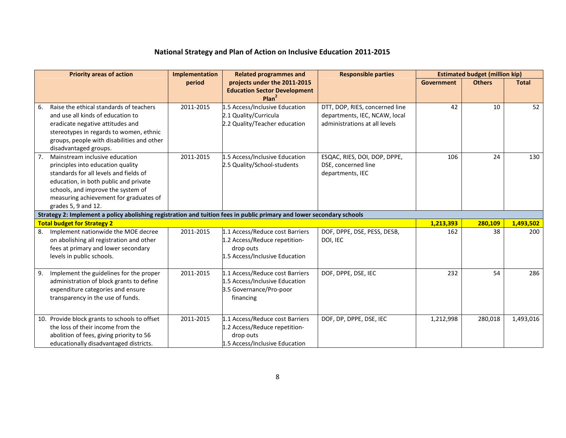|    | <b>Priority areas of action</b>                                                                                                                                                                                                                               | <b>Implementation</b> | <b>Related programmes and</b>                                                                                   | <b>Responsible parties</b>                                                                       |                   | <b>Estimated budget (million kip)</b> |              |
|----|---------------------------------------------------------------------------------------------------------------------------------------------------------------------------------------------------------------------------------------------------------------|-----------------------|-----------------------------------------------------------------------------------------------------------------|--------------------------------------------------------------------------------------------------|-------------------|---------------------------------------|--------------|
|    |                                                                                                                                                                                                                                                               | period                | projects under the 2011-2015<br><b>Education Sector Development</b><br>Plan <sup>2</sup>                        |                                                                                                  | <b>Government</b> | <b>Others</b>                         | <b>Total</b> |
| 6. | Raise the ethical standards of teachers<br>and use all kinds of education to<br>eradicate negative attitudes and<br>stereotypes in regards to women, ethnic<br>groups, people with disabilities and other<br>disadvantaged groups.                            | 2011-2015             | 1.5 Access/Inclusive Education<br>2.1 Quality/Curricula<br>2.2 Quality/Teacher education                        | DTT, DOP, RIES, concerned line<br>departments, IEC, NCAW, local<br>administrations at all levels | 42                | 10                                    | 52           |
|    | Mainstream inclusive education<br>principles into education quality<br>standards for all levels and fields of<br>education, in both public and private<br>schools, and improve the system of<br>measuring achievement for graduates of<br>grades 5, 9 and 12. | 2011-2015             | 1.5 Access/Inclusive Education<br>2.5 Quality/School-students                                                   | ESQAC, RIES, DOI, DOP, DPPE,<br>DSE, concerned line<br>departments, IEC                          | 106               | 24                                    | 130          |
|    | Strategy 2: Implement a policy abolishing registration and tuition fees in public primary and lower secondary schools                                                                                                                                         |                       |                                                                                                                 |                                                                                                  |                   |                                       |              |
|    | <b>Total budget for Strategy 2</b>                                                                                                                                                                                                                            |                       |                                                                                                                 |                                                                                                  | 1,213,393         | 280,109                               | 1,493,502    |
| 8. | Implement nationwide the MOE decree<br>on abolishing all registration and other<br>fees at primary and lower secondary<br>levels in public schools.                                                                                                           | 2011-2015             | 1.1 Access/Reduce cost Barriers<br>1.2 Access/Reduce repetition-<br>drop outs<br>1.5 Access/Inclusive Education | DOF, DPPE, DSE, PESS, DESB,<br>DOI, IEC                                                          | 162               | 38                                    | 200          |
| 9. | Implement the guidelines for the proper<br>administration of block grants to define<br>expenditure categories and ensure<br>transparency in the use of funds.                                                                                                 | 2011-2015             | 1.1 Access/Reduce cost Barriers<br>1.5 Access/Inclusive Education<br>3.5 Governance/Pro-poor<br>financing       | DOF, DPPE, DSE, IEC                                                                              | 232               | 54                                    | 286          |
|    | 10. Provide block grants to schools to offset<br>the loss of their income from the<br>abolition of fees, giving priority to 56<br>educationally disadvantaged districts.                                                                                      | 2011-2015             | 1.1 Access/Reduce cost Barriers<br>1.2 Access/Reduce repetition-<br>drop outs<br>1.5 Access/Inclusive Education | DOF, DP, DPPE, DSE, IEC                                                                          | 1,212,998         | 280,018                               | 1,493,016    |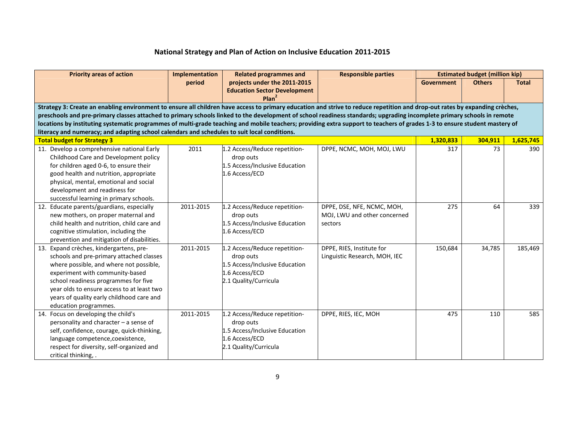| <b>Priority areas of action</b>                                                                                                                                             | Implementation                                                                                                                                                         | <b>Related programmes and</b>                                       | <b>Responsible parties</b>    | <b>Estimated budget (million kip)</b> |               |              |  |  |  |
|-----------------------------------------------------------------------------------------------------------------------------------------------------------------------------|------------------------------------------------------------------------------------------------------------------------------------------------------------------------|---------------------------------------------------------------------|-------------------------------|---------------------------------------|---------------|--------------|--|--|--|
|                                                                                                                                                                             | period                                                                                                                                                                 | projects under the 2011-2015<br><b>Education Sector Development</b> |                               | Government                            | <b>Others</b> | <b>Total</b> |  |  |  |
|                                                                                                                                                                             |                                                                                                                                                                        | Plan <sup>2</sup>                                                   |                               |                                       |               |              |  |  |  |
| Strategy 3: Create an enabling environment to ensure all children have access to primary education and strive to reduce repetition and drop-out rates by expanding crèches, |                                                                                                                                                                        |                                                                     |                               |                                       |               |              |  |  |  |
|                                                                                                                                                                             | preschools and pre-primary classes attached to primary schools linked to the development of school readiness standards; upgrading incomplete primary schools in remote |                                                                     |                               |                                       |               |              |  |  |  |
| locations by instituting systematic programmes of multi-grade teaching and mobile teachers; providing extra support to teachers of grades 1-3 to ensure student mastery of  |                                                                                                                                                                        |                                                                     |                               |                                       |               |              |  |  |  |
| literacy and numeracy; and adapting school calendars and schedules to suit local conditions.                                                                                |                                                                                                                                                                        |                                                                     |                               |                                       |               |              |  |  |  |
| <b>Total budget for Strategy 3</b>                                                                                                                                          |                                                                                                                                                                        |                                                                     |                               | 1,320,833                             | 304,911       | 1,625,745    |  |  |  |
| 11. Develop a comprehensive national Early                                                                                                                                  | 2011                                                                                                                                                                   | 1.2 Access/Reduce repetition-                                       | DPPE, NCMC, MOH, MOJ, LWU     | 317                                   | 73            | 390          |  |  |  |
| Childhood Care and Development policy                                                                                                                                       |                                                                                                                                                                        | drop outs                                                           |                               |                                       |               |              |  |  |  |
| for children aged 0-6, to ensure their                                                                                                                                      |                                                                                                                                                                        | 1.5 Access/Inclusive Education                                      |                               |                                       |               |              |  |  |  |
| good health and nutrition, appropriate                                                                                                                                      |                                                                                                                                                                        | 1.6 Access/ECD                                                      |                               |                                       |               |              |  |  |  |
| physical, mental, emotional and social                                                                                                                                      |                                                                                                                                                                        |                                                                     |                               |                                       |               |              |  |  |  |
| development and readiness for                                                                                                                                               |                                                                                                                                                                        |                                                                     |                               |                                       |               |              |  |  |  |
| successful learning in primary schools.                                                                                                                                     |                                                                                                                                                                        |                                                                     |                               |                                       |               |              |  |  |  |
| 12. Educate parents/guardians, especially                                                                                                                                   | 2011-2015                                                                                                                                                              | 1.2 Access/Reduce repetition-                                       | DPPE, DSE, NFE, NCMC, MOH,    | 275                                   | 64            | 339          |  |  |  |
| new mothers, on proper maternal and                                                                                                                                         |                                                                                                                                                                        | drop outs                                                           | MOJ, LWU and other concerned  |                                       |               |              |  |  |  |
| child health and nutrition, child care and                                                                                                                                  |                                                                                                                                                                        | 1.5 Access/Inclusive Education                                      | sectors                       |                                       |               |              |  |  |  |
| cognitive stimulation, including the                                                                                                                                        |                                                                                                                                                                        | 1.6 Access/ECD                                                      |                               |                                       |               |              |  |  |  |
| prevention and mitigation of disabilities.                                                                                                                                  |                                                                                                                                                                        |                                                                     |                               |                                       |               |              |  |  |  |
| 13. Expand crèches, kindergartens, pre-                                                                                                                                     | 2011-2015                                                                                                                                                              | 1.2 Access/Reduce repetition-                                       | DPPE, RIES, Institute for     | 150,684                               | 34,785        | 185,469      |  |  |  |
| schools and pre-primary attached classes                                                                                                                                    |                                                                                                                                                                        | drop outs                                                           | Linguistic Research, MOH, IEC |                                       |               |              |  |  |  |
| where possible, and where not possible,                                                                                                                                     |                                                                                                                                                                        | 1.5 Access/Inclusive Education                                      |                               |                                       |               |              |  |  |  |
| experiment with community-based                                                                                                                                             |                                                                                                                                                                        | 1.6 Access/ECD                                                      |                               |                                       |               |              |  |  |  |
| school readiness programmes for five                                                                                                                                        |                                                                                                                                                                        | 2.1 Quality/Curricula                                               |                               |                                       |               |              |  |  |  |
| year olds to ensure access to at least two                                                                                                                                  |                                                                                                                                                                        |                                                                     |                               |                                       |               |              |  |  |  |
| years of quality early childhood care and                                                                                                                                   |                                                                                                                                                                        |                                                                     |                               |                                       |               |              |  |  |  |
| education programmes.                                                                                                                                                       |                                                                                                                                                                        |                                                                     |                               |                                       |               |              |  |  |  |
| 14. Focus on developing the child's                                                                                                                                         | 2011-2015                                                                                                                                                              | 1.2 Access/Reduce repetition-                                       | DPPE, RIES, IEC, MOH          | 475                                   | 110           | 585          |  |  |  |
| personality and character - a sense of                                                                                                                                      |                                                                                                                                                                        | drop outs                                                           |                               |                                       |               |              |  |  |  |
| self, confidence, courage, quick-thinking,                                                                                                                                  |                                                                                                                                                                        | 1.5 Access/Inclusive Education                                      |                               |                                       |               |              |  |  |  |
| language competence, coexistence,                                                                                                                                           |                                                                                                                                                                        | 1.6 Access/ECD                                                      |                               |                                       |               |              |  |  |  |
| respect for diversity, self-organized and                                                                                                                                   |                                                                                                                                                                        | 2.1 Quality/Curricula                                               |                               |                                       |               |              |  |  |  |
| critical thinking, .                                                                                                                                                        |                                                                                                                                                                        |                                                                     |                               |                                       |               |              |  |  |  |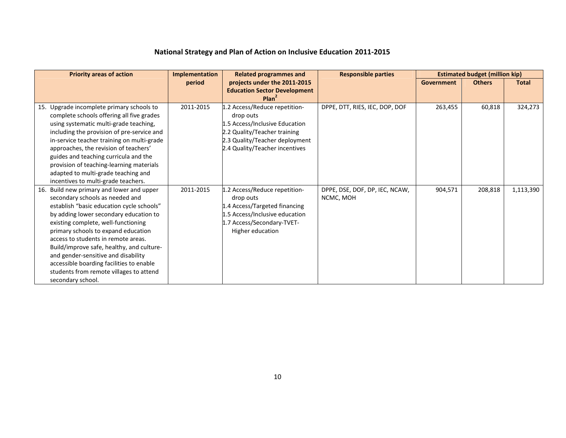| <b>Priority areas of action</b>                                                                                                                                                                                                                                                                                                                                                                                                                                                          | <b>Implementation</b> | <b>Related programmes and</b>                                                                                                                                                    | <b>Responsible parties</b>                  |                   | <b>Estimated budget (million kip)</b> |              |
|------------------------------------------------------------------------------------------------------------------------------------------------------------------------------------------------------------------------------------------------------------------------------------------------------------------------------------------------------------------------------------------------------------------------------------------------------------------------------------------|-----------------------|----------------------------------------------------------------------------------------------------------------------------------------------------------------------------------|---------------------------------------------|-------------------|---------------------------------------|--------------|
|                                                                                                                                                                                                                                                                                                                                                                                                                                                                                          | period                | projects under the 2011-2015<br><b>Education Sector Development</b><br>Plan <sup>2</sup>                                                                                         |                                             | <b>Government</b> | <b>Others</b>                         | <b>Total</b> |
| 15. Upgrade incomplete primary schools to<br>complete schools offering all five grades<br>using systematic multi-grade teaching,<br>including the provision of pre-service and<br>in-service teacher training on multi-grade<br>approaches, the revision of teachers'<br>guides and teaching curricula and the<br>provision of teaching-learning materials<br>adapted to multi-grade teaching and<br>incentives to multi-grade teachers.                                                 | 2011-2015             | 1.2 Access/Reduce repetition-<br>drop outs<br>1.5 Access/Inclusive Education<br>2.2 Quality/Teacher training<br>2.3 Quality/Teacher deployment<br>2.4 Quality/Teacher incentives | DPPE, DTT, RIES, IEC, DOP, DOF              | 263,455           | 60,818                                | 324,273      |
| 16. Build new primary and lower and upper<br>secondary schools as needed and<br>establish "basic education cycle schools"<br>by adding lower secondary education to<br>existing complete, well-functioning<br>primary schools to expand education<br>access to students in remote areas.<br>Build/improve safe, healthy, and culture-<br>and gender-sensitive and disability<br>accessible boarding facilities to enable<br>students from remote villages to attend<br>secondary school. | 2011-2015             | 1.2 Access/Reduce repetition-<br>drop outs<br>1.4 Access/Targeted financing<br>1.5 Access/Inclusive education<br>1.7 Access/Secondary-TVET-<br>Higher education                  | DPPE, DSE, DOF, DP, IEC, NCAW,<br>NCMC, MOH | 904,571           | 208,818                               | 1,113,390    |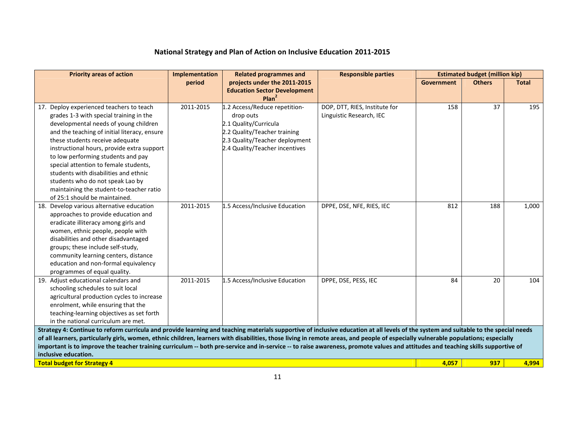| <b>Priority areas of action</b>                                                                                                                                                                                                                                                                                                                                                                                                                                                                        | Implementation | <b>Related programmes and</b>                                                                                                                                           | <b>Responsible parties</b>                                |            | <b>Estimated budget (million kip)</b> |              |
|--------------------------------------------------------------------------------------------------------------------------------------------------------------------------------------------------------------------------------------------------------------------------------------------------------------------------------------------------------------------------------------------------------------------------------------------------------------------------------------------------------|----------------|-------------------------------------------------------------------------------------------------------------------------------------------------------------------------|-----------------------------------------------------------|------------|---------------------------------------|--------------|
|                                                                                                                                                                                                                                                                                                                                                                                                                                                                                                        | period         | projects under the 2011-2015<br><b>Education Sector Development</b><br>Plan <sup>2</sup>                                                                                |                                                           | Government | <b>Others</b>                         | <b>Total</b> |
| 17. Deploy experienced teachers to teach<br>grades 1-3 with special training in the<br>developmental needs of young children<br>and the teaching of initial literacy, ensure<br>these students receive adequate<br>instructional hours, provide extra support<br>to low performing students and pay<br>special attention to female students,<br>students with disabilities and ethnic<br>students who do not speak Lao by<br>maintaining the student-to-teacher ratio<br>of 25:1 should be maintained. | 2011-2015      | 1.2 Access/Reduce repetition-<br>drop outs<br>2.1 Quality/Curricula<br>2.2 Quality/Teacher training<br>2.3 Quality/Teacher deployment<br>2.4 Quality/Teacher incentives | DOP, DTT, RIES, Institute for<br>Linguistic Research, IEC | 158        | 37                                    | 195          |
| 18. Develop various alternative education<br>approaches to provide education and<br>eradicate illiteracy among girls and<br>women, ethnic people, people with<br>disabilities and other disadvantaged<br>groups; these include self-study,<br>community learning centers, distance<br>education and non-formal equivalency<br>programmes of equal quality.                                                                                                                                             | 2011-2015      | 1.5 Access/Inclusive Education                                                                                                                                          | DPPE, DSE, NFE, RIES, IEC                                 | 812        | 188                                   | 1,000        |
| 19. Adjust educational calendars and<br>schooling schedules to suit local<br>agricultural production cycles to increase<br>enrolment, while ensuring that the<br>teaching-learning objectives as set forth<br>in the national curriculum are met.                                                                                                                                                                                                                                                      | 2011-2015      | 1.5 Access/Inclusive Education                                                                                                                                          | DPPE, DSE, PESS, IEC                                      | 84         | 20                                    | 104          |
| Strategy 4: Continue to reform curricula and provide learning and teaching materials supportive of inclusive education at all levels of the system and suitable to the special needs<br>of all learners, particularly girls, women, ethnic children, learners with disabilities, those living in remote areas, and people of especially vulnerable populations; especially                                                                                                                             |                |                                                                                                                                                                         |                                                           |            |                                       |              |
| important is to improve the teacher training curriculum -- both pre-service and in-service -- to raise awareness, promote values and attitudes and teaching skills supportive of                                                                                                                                                                                                                                                                                                                       |                |                                                                                                                                                                         |                                                           |            |                                       |              |
| inclusive education.<br><b>Total budget for Strategy 4</b>                                                                                                                                                                                                                                                                                                                                                                                                                                             |                |                                                                                                                                                                         |                                                           | 4.057      | 937                                   | 4.994        |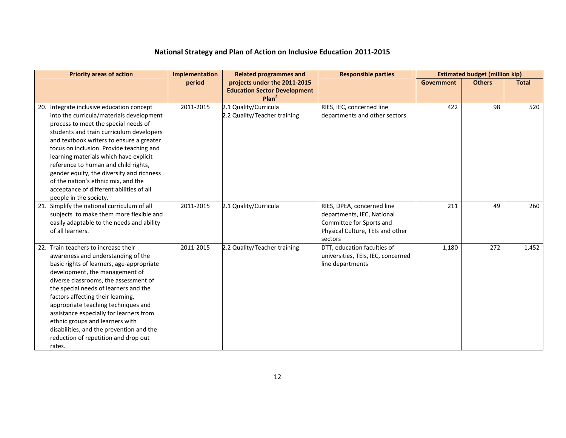| <b>Priority areas of action</b>                                                                                                                                                                                                                                                                                                                                                                                                                                                                               | Implementation | <b>Related programmes and</b>                                                            | <b>Responsible parties</b>                                                                                                          |                   | <b>Estimated budget (million kip)</b> |              |
|---------------------------------------------------------------------------------------------------------------------------------------------------------------------------------------------------------------------------------------------------------------------------------------------------------------------------------------------------------------------------------------------------------------------------------------------------------------------------------------------------------------|----------------|------------------------------------------------------------------------------------------|-------------------------------------------------------------------------------------------------------------------------------------|-------------------|---------------------------------------|--------------|
|                                                                                                                                                                                                                                                                                                                                                                                                                                                                                                               | period         | projects under the 2011-2015<br><b>Education Sector Development</b><br>Plan <sup>2</sup> |                                                                                                                                     | <b>Government</b> | <b>Others</b>                         | <b>Total</b> |
| 20. Integrate inclusive education concept<br>into the curricula/materials development<br>process to meet the special needs of<br>students and train curriculum developers<br>and textbook writers to ensure a greater<br>focus on inclusion. Provide teaching and<br>learning materials which have explicit<br>reference to human and child rights,<br>gender equity, the diversity and richness<br>of the nation's ethnic mix, and the<br>acceptance of different abilities of all<br>people in the society. | 2011-2015      | 2.1 Quality/Curricula<br>2.2 Quality/Teacher training                                    | RIES, IEC, concerned line<br>departments and other sectors                                                                          | 422               | 98                                    | 520          |
| 21. Simplify the national curriculum of all<br>subjects to make them more flexible and<br>easily adaptable to the needs and ability<br>of all learners.                                                                                                                                                                                                                                                                                                                                                       | 2011-2015      | 2.1 Quality/Curricula                                                                    | RIES, DPEA, concerned line<br>departments, IEC, National<br>Committee for Sports and<br>Physical Culture, TEIs and other<br>sectors | 211               | 49                                    | 260          |
| 22. Train teachers to increase their<br>awareness and understanding of the<br>basic rights of learners, age-appropriate<br>development, the management of<br>diverse classrooms, the assessment of<br>the special needs of learners and the<br>factors affecting their learning,<br>appropriate teaching techniques and<br>assistance especially for learners from<br>ethnic groups and learners with<br>disabilities, and the prevention and the<br>reduction of repetition and drop out<br>rates.           | 2011-2015      | 2.2 Quality/Teacher training                                                             | DTT, education faculties of<br>universities, TEIs, IEC, concerned<br>line departments                                               | 1,180             | 272                                   | 1,452        |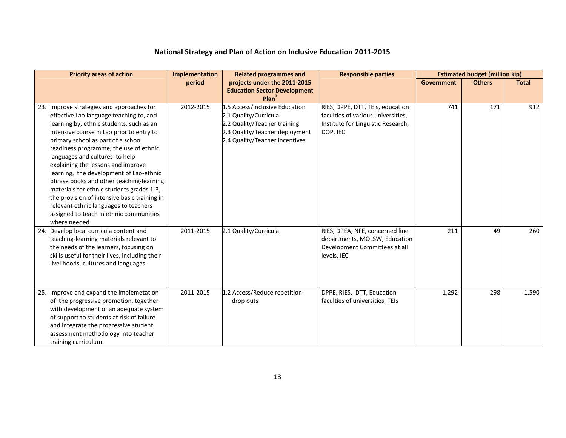| <b>Priority areas of action</b>                                                                                                                                                                                                                                                                                                                                                                                                                                                                                                                                                                                                | Implementation | <b>Related programmes and</b>                                                                                                                               | <b>Responsible parties</b>                                                                                               |                   | <b>Estimated budget (million kip)</b> |              |
|--------------------------------------------------------------------------------------------------------------------------------------------------------------------------------------------------------------------------------------------------------------------------------------------------------------------------------------------------------------------------------------------------------------------------------------------------------------------------------------------------------------------------------------------------------------------------------------------------------------------------------|----------------|-------------------------------------------------------------------------------------------------------------------------------------------------------------|--------------------------------------------------------------------------------------------------------------------------|-------------------|---------------------------------------|--------------|
|                                                                                                                                                                                                                                                                                                                                                                                                                                                                                                                                                                                                                                | period         | projects under the 2011-2015<br><b>Education Sector Development</b><br>Plan <sup>2</sup>                                                                    |                                                                                                                          | <b>Government</b> | <b>Others</b>                         | <b>Total</b> |
| 23. Improve strategies and approaches for<br>effective Lao language teaching to, and<br>learning by, ethnic students, such as an<br>intensive course in Lao prior to entry to<br>primary school as part of a school<br>readiness programme, the use of ethnic<br>languages and cultures to help<br>explaining the lessons and improve<br>learning, the development of Lao-ethnic<br>phrase books and other teaching-learning<br>materials for ethnic students grades 1-3,<br>the provision of intensive basic training in<br>relevant ethnic languages to teachers<br>assigned to teach in ethnic communities<br>where needed. | 2012-2015      | 1.5 Access/Inclusive Education<br>2.1 Quality/Curricula<br>2.2 Quality/Teacher training<br>2.3 Quality/Teacher deployment<br>2.4 Quality/Teacher incentives | RIES, DPPE, DTT, TEIs, education<br>faculties of various universities,<br>Institute for Linguistic Research,<br>DOP, IEC | 741               | 171                                   | 912          |
| 24. Develop local curricula content and<br>teaching-learning materials relevant to<br>the needs of the learners, focusing on<br>skills useful for their lives, including their<br>livelihoods, cultures and languages.                                                                                                                                                                                                                                                                                                                                                                                                         | 2011-2015      | 2.1 Quality/Curricula                                                                                                                                       | RIES, DPEA, NFE, concerned line<br>departments, MOLSW, Education<br>Development Committees at all<br>levels, IEC         | 211               | 49                                    | 260          |
| 25. Improve and expand the implemetation<br>of the progressive promotion, together<br>with development of an adequate system<br>of support to students at risk of failure<br>and integrate the progressive student<br>assessment methodology into teacher<br>training curriculum.                                                                                                                                                                                                                                                                                                                                              | 2011-2015      | 1.2 Access/Reduce repetition-<br>drop outs                                                                                                                  | DPPE, RIES, DTT, Education<br>faculties of universities, TEIs                                                            | 1,292             | 298                                   | 1,590        |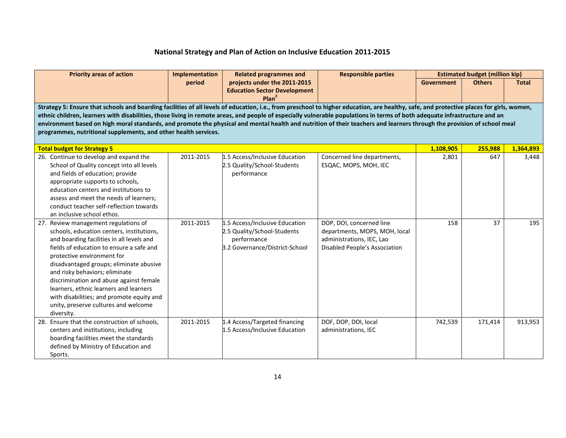| <b>Priority areas of action</b>                                                                                                                                                                                                                                                                                                                                                                                                                                                                                                                                                                                      | Implementation | <b>Related programmes and</b>                                                                                  | <b>Responsible parties</b>                                                                                              |                   | <b>Estimated budget (million kip)</b> |              |  |
|----------------------------------------------------------------------------------------------------------------------------------------------------------------------------------------------------------------------------------------------------------------------------------------------------------------------------------------------------------------------------------------------------------------------------------------------------------------------------------------------------------------------------------------------------------------------------------------------------------------------|----------------|----------------------------------------------------------------------------------------------------------------|-------------------------------------------------------------------------------------------------------------------------|-------------------|---------------------------------------|--------------|--|
|                                                                                                                                                                                                                                                                                                                                                                                                                                                                                                                                                                                                                      | period         | projects under the 2011-2015<br><b>Education Sector Development</b><br>Plan <sup>2</sup>                       |                                                                                                                         | <b>Government</b> | <b>Others</b>                         | <b>Total</b> |  |
| Strategy 5: Ensure that schools and boarding facilities of all levels of education, i.e., from preschool to higher education, are healthy, safe, and protective places for girls, women,<br>ethnic children, learners with disabilities, those living in remote areas, and people of especially vulnerable populations in terms of both adequate infrastructure and an<br>environment based on high moral standards, and promote the physical and mental health and nutrition of their teachers and learners through the provision of school meal<br>programmes, nutritional supplements, and other health services. |                |                                                                                                                |                                                                                                                         |                   |                                       |              |  |
| <b>Total budget for Strategy 5</b>                                                                                                                                                                                                                                                                                                                                                                                                                                                                                                                                                                                   |                |                                                                                                                |                                                                                                                         | 1,108,905         | 255,988                               | 1,364,893    |  |
| 26. Continue to develop and expand the<br>School of Quality concept into all levels<br>and fields of education; provide<br>appropriate supports to schools,<br>education centers and institutions to<br>assess and meet the needs of learners;<br>conduct teacher self-reflection towards<br>an inclusive school ethos.                                                                                                                                                                                                                                                                                              | 2011-2015      | 1.5 Access/Inclusive Education<br>2.5 Quality/School-Students<br>performance                                   | Concerned line departments,<br>ESQAC, MOPS, MOH, IEC                                                                    | 2,801             | 647                                   | 3,448        |  |
| 27. Review management regulations of<br>schools, education centers, institutions,<br>and boarding facilities in all levels and<br>fields of education to ensure a safe and<br>protective environment for<br>disadvantaged groups; eliminate abusive<br>and risky behaviors; eliminate<br>discrimination and abuse against female<br>learners, ethnic learners and learners<br>with disabilities; and promote equity and<br>unity, preserve cultures and welcome<br>diversity.                                                                                                                                        | 2011-2015      | 1.5 Access/Inclusive Education<br>2.5 Quality/School-Students<br>performance<br>3.2 Governance/District-School | DOP, DOI, concerned line<br>departments, MOPS, MOH, local<br>administrations, IEC, Lao<br>Disabled People's Association | 158               | 37                                    | 195          |  |
| 28. Ensure that the construction of schools,<br>centers and institutions, including<br>boarding facilities meet the standards<br>defined by Ministry of Education and<br>Sports.                                                                                                                                                                                                                                                                                                                                                                                                                                     | 2011-2015      | 1.4 Access/Targeted financing<br>1.5 Access/Inclusive Education                                                | DOF, DOP, DOI, local<br>administrations, IEC                                                                            | 742,539           | 171,414                               | 913,953      |  |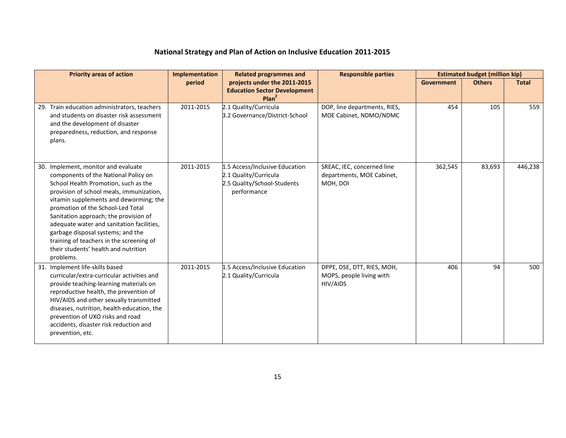| <b>Priority areas of action</b>                                                                                                                                                                                                                                                                                                                                                                                                                                            | Implementation | <b>Related programmes and</b>                                                                         | <b>Responsible parties</b>                                          |            | <b>Estimated budget (million kip)</b> |              |
|----------------------------------------------------------------------------------------------------------------------------------------------------------------------------------------------------------------------------------------------------------------------------------------------------------------------------------------------------------------------------------------------------------------------------------------------------------------------------|----------------|-------------------------------------------------------------------------------------------------------|---------------------------------------------------------------------|------------|---------------------------------------|--------------|
|                                                                                                                                                                                                                                                                                                                                                                                                                                                                            | period         | projects under the 2011-2015<br><b>Education Sector Development</b><br>Plan <sup>2</sup>              |                                                                     | Government | <b>Others</b>                         | <b>Total</b> |
| 29. Train education administrators, teachers<br>and students on disaster risk assessment<br>and the development of disaster<br>preparedness, reduction, and response<br>plans.                                                                                                                                                                                                                                                                                             | 2011-2015      | 2.1 Quality/Curricula<br>3.2 Governance/District-School                                               | DOP, line departments, RIES,<br>MOE Cabinet, NDMO/NDMC              | 454        | 105                                   | 559          |
| 30. Implement, monitor and evaluate<br>components of the National Policy on<br>School Health Promotion, such as the<br>provision of school meals, immunization,<br>vitamin supplements and deworming; the<br>promotion of the School-Led Total<br>Sanitation approach; the provision of<br>adequate water and sanitation facilities,<br>garbage disposal systems; and the<br>training of teachers in the screening of<br>their students' health and nutrition<br>problems. | 2011-2015      | 1.5 Access/Inclusive Education<br>2.1 Quality/Curricula<br>2.5 Quality/School-Students<br>performance | SREAC, IEC, concerned line<br>departments, MOE Cabinet,<br>MOH, DOI | 362,545    | 83,693                                | 446,238      |
| 31. Implement life-skills based<br>curricular/extra-curricular activities and<br>provide teaching-learning materials on<br>reproductive health, the prevention of<br>HIV/AIDS and other sexually transmitted<br>diseases, nutrition, health education, the<br>prevention of UXO risks and road<br>accidents, disaster risk reduction and<br>prevention, etc.                                                                                                               | 2011-2015      | 1.5 Access/Inclusive Education<br>2.1 Quality/Curricula                                               | DPPE, DSE, DTT, RIES, MOH,<br>MOPS, people living with<br>HIV/AIDS  | 406        | 94                                    | 500          |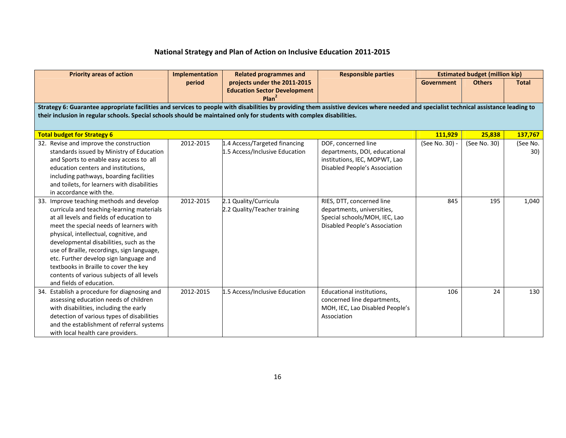| <b>Priority areas of action</b>                                                                                                                                                                                                                                                                                                                                                                                                                                              | Implementation | <b>Related programmes and</b>                                                            | <b>Responsible parties</b>                                                                                                | <b>Estimated budget (million kip)</b> |               |                 |  |  |
|------------------------------------------------------------------------------------------------------------------------------------------------------------------------------------------------------------------------------------------------------------------------------------------------------------------------------------------------------------------------------------------------------------------------------------------------------------------------------|----------------|------------------------------------------------------------------------------------------|---------------------------------------------------------------------------------------------------------------------------|---------------------------------------|---------------|-----------------|--|--|
|                                                                                                                                                                                                                                                                                                                                                                                                                                                                              | period         | projects under the 2011-2015<br><b>Education Sector Development</b><br>Plan <sup>2</sup> |                                                                                                                           | Government                            | <b>Others</b> | <b>Total</b>    |  |  |
| Strategy 6: Guarantee appropriate facilities and services to people with disabilities by providing them assistive devices where needed and specialist technical assistance leading to<br>their inclusion in regular schools. Special schools should be maintained only for students with complex disabilities.                                                                                                                                                               |                |                                                                                          |                                                                                                                           |                                       |               |                 |  |  |
| <b>Total budget for Strategy 6</b>                                                                                                                                                                                                                                                                                                                                                                                                                                           |                |                                                                                          |                                                                                                                           | 111,929                               | 25,838        | 137,767         |  |  |
| 32. Revise and improve the construction<br>standards issued by Ministry of Education<br>and Sports to enable easy access to all<br>education centers and institutions.<br>including pathways, boarding facilities<br>and toilets, for learners with disabilities<br>in accordance with the.                                                                                                                                                                                  | 2012-2015      | 1.4 Access/Targeted financing<br>1.5 Access/Inclusive Education                          | DOF, concerned line<br>departments, DOI, educational<br>institutions, IEC, MOPWT, Lao<br>Disabled People's Association    | (See No. 30) -                        | (See No. 30)  | (See No.<br>30) |  |  |
| 33. Improve teaching methods and develop<br>curricula and teaching-learning materials<br>at all levels and fields of education to<br>meet the special needs of learners with<br>physical, intellectual, cognitive, and<br>developmental disabilities, such as the<br>use of Braille, recordings, sign language,<br>etc. Further develop sign language and<br>textbooks in Braille to cover the key<br>contents of various subjects of all levels<br>and fields of education. | 2012-2015      | 2.1 Quality/Curricula<br>2.2 Quality/Teacher training                                    | RIES, DTT, concerned line<br>departments, universities,<br>Special schools/MOH, IEC, Lao<br>Disabled People's Association | 845                                   | 195           | 1,040           |  |  |
| 34. Establish a procedure for diagnosing and<br>assessing education needs of children<br>with disabilities, including the early<br>detection of various types of disabilities<br>and the establishment of referral systems<br>with local health care providers.                                                                                                                                                                                                              | 2012-2015      | 1.5 Access/Inclusive Education                                                           | Educational institutions,<br>concerned line departments,<br>MOH, IEC, Lao Disabled People's<br>Association                | 106                                   | 24            | 130             |  |  |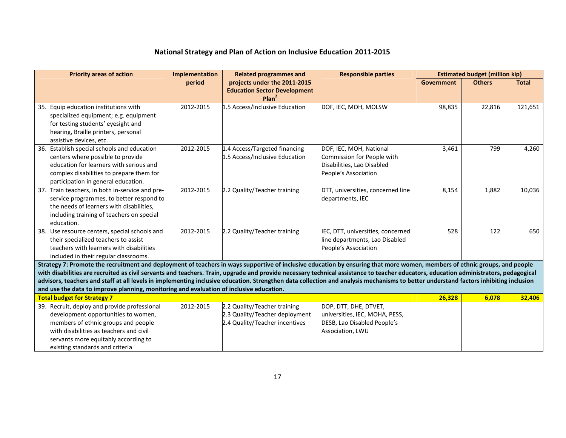| <b>Priority areas of action</b>                                                                                                                                                                                                                                                                                                                                                                                                                                                                                                                                                                                                                        | <b>Implementation</b> | <b>Related programmes and</b>                                                                    | <b>Responsible parties</b>                                                                                  |            | <b>Estimated budget (million kip)</b> |              |
|--------------------------------------------------------------------------------------------------------------------------------------------------------------------------------------------------------------------------------------------------------------------------------------------------------------------------------------------------------------------------------------------------------------------------------------------------------------------------------------------------------------------------------------------------------------------------------------------------------------------------------------------------------|-----------------------|--------------------------------------------------------------------------------------------------|-------------------------------------------------------------------------------------------------------------|------------|---------------------------------------|--------------|
|                                                                                                                                                                                                                                                                                                                                                                                                                                                                                                                                                                                                                                                        | period                | projects under the 2011-2015<br><b>Education Sector Development</b><br>Plan <sup>2</sup>         |                                                                                                             | Government | <b>Others</b>                         | <b>Total</b> |
| 35. Equip education institutions with<br>specialized equipment; e.g. equipment<br>for testing students' eyesight and<br>hearing, Braille printers, personal<br>assistive devices, etc.                                                                                                                                                                                                                                                                                                                                                                                                                                                                 | 2012-2015             | 1.5 Access/Inclusive Education                                                                   | DOF, IEC, MOH, MOLSW                                                                                        | 98,835     | 22,816                                | 121,651      |
| 36. Establish special schools and education<br>centers where possible to provide<br>education for learners with serious and<br>complex disabilities to prepare them for<br>participation in general education.                                                                                                                                                                                                                                                                                                                                                                                                                                         | 2012-2015             | 1.4 Access/Targeted financing<br>1.5 Access/Inclusive Education                                  | DOF, IEC, MOH, National<br>Commission for People with<br>Disabilities, Lao Disabled<br>People's Association | 3,461      | 799                                   | 4,260        |
| 37. Train teachers, in both in-service and pre-<br>service programmes, to better respond to<br>the needs of learners with disabilities,<br>including training of teachers on special<br>education.                                                                                                                                                                                                                                                                                                                                                                                                                                                     | 2012-2015             | 2.2 Quality/Teacher training                                                                     | DTT, universities, concerned line<br>departments, IEC                                                       | 8,154      | 1,882                                 | 10,036       |
| 38. Use resource centers, special schools and<br>their specialized teachers to assist<br>teachers with learners with disabilities<br>included in their regular classrooms.                                                                                                                                                                                                                                                                                                                                                                                                                                                                             | 2012-2015             | 2.2 Quality/Teacher training                                                                     | IEC, DTT, universities, concerned<br>line departments, Lao Disabled<br>People's Association                 | 528        | 122                                   | 650          |
| Strategy 7: Promote the recruitment and deployment of teachers in ways supportive of inclusive education by ensuring that more women, members of ethnic groups, and people<br>with disabilities are recruited as civil servants and teachers. Train, upgrade and provide necessary technical assistance to teacher educators, education administrators, pedagogical<br>advisors, teachers and staff at all levels in implementing inclusive education. Strengthen data collection and analysis mechanisms to better understand factors inhibiting inclusion<br>and use the data to improve planning, monitoring and evaluation of inclusive education. |                       |                                                                                                  |                                                                                                             |            |                                       |              |
| <b>Total budget for Strategy 7</b>                                                                                                                                                                                                                                                                                                                                                                                                                                                                                                                                                                                                                     |                       |                                                                                                  |                                                                                                             | 26,328     | 6,078                                 | 32,406       |
| 39. Recruit, deploy and provide professional<br>development opportunities to women,<br>members of ethnic groups and people<br>with disabilities as teachers and civil<br>servants more equitably according to<br>existing standards and criteria                                                                                                                                                                                                                                                                                                                                                                                                       | 2012-2015             | 2.2 Quality/Teacher training<br>2.3 Quality/Teacher deployment<br>2.4 Quality/Teacher incentives | DOP, DTT, DHE, DTVET,<br>universities, IEC, MOHA, PESS,<br>DESB, Lao Disabled People's<br>Association, LWU  |            |                                       |              |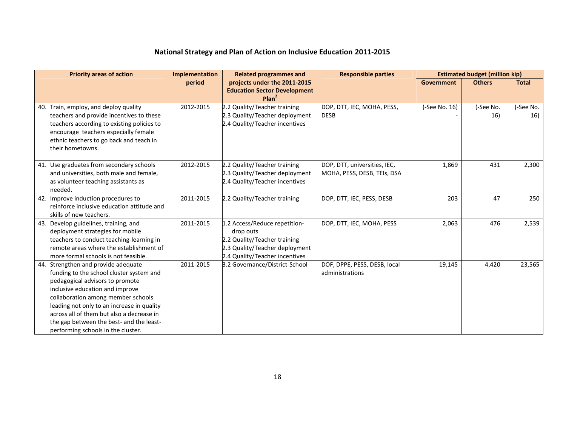| <b>Priority areas of action</b>                                                                                                                                                                                                                                                                                                                                          | Implementation | <b>Related programmes and</b>                                                                                                                  | <b>Responsible parties</b>                                  | <b>Estimated budget (million kip)</b> |                  |                  |
|--------------------------------------------------------------------------------------------------------------------------------------------------------------------------------------------------------------------------------------------------------------------------------------------------------------------------------------------------------------------------|----------------|------------------------------------------------------------------------------------------------------------------------------------------------|-------------------------------------------------------------|---------------------------------------|------------------|------------------|
|                                                                                                                                                                                                                                                                                                                                                                          | period         | projects under the 2011-2015<br><b>Education Sector Development</b><br>Plan <sup>2</sup>                                                       |                                                             | Government                            | <b>Others</b>    | <b>Total</b>     |
| 40. Train, employ, and deploy quality<br>teachers and provide incentives to these<br>teachers according to existing policies to<br>encourage teachers especially female<br>ethnic teachers to go back and teach in<br>their hometowns.                                                                                                                                   | 2012-2015      | 2.2 Quality/Teacher training<br>2.3 Quality/Teacher deployment<br>2.4 Quality/Teacher incentives                                               | DOP, DTT, IEC, MOHA, PESS,<br><b>DESB</b>                   | (-See No. 16)                         | (-See No.<br>16) | (-See No.<br>16) |
| 41. Use graduates from secondary schools<br>and universities, both male and female,<br>as volunteer teaching assistants as<br>needed.                                                                                                                                                                                                                                    | 2012-2015      | 2.2 Quality/Teacher training<br>2.3 Quality/Teacher deployment<br>2.4 Quality/Teacher incentives                                               | DOP, DTT, universities, IEC,<br>MOHA, PESS, DESB, TEIs, DSA | 1,869                                 | 431              | 2,300            |
| 42. Improve induction procedures to<br>reinforce inclusive education attitude and<br>skills of new teachers.                                                                                                                                                                                                                                                             | 2011-2015      | 2.2 Quality/Teacher training                                                                                                                   | DOP, DTT, IEC, PESS, DESB                                   | 203                                   | 47               | 250              |
| 43. Develop guidelines, training, and<br>deployment strategies for mobile<br>teachers to conduct teaching-learning in<br>remote areas where the establishment of<br>more formal schools is not feasible.                                                                                                                                                                 | 2011-2015      | 1.2 Access/Reduce repetition-<br>drop outs<br>2.2 Quality/Teacher training<br>2.3 Quality/Teacher deployment<br>2.4 Quality/Teacher incentives | DOP, DTT, IEC, MOHA, PESS                                   | 2,063                                 | 476              | 2,539            |
| 44. Strengthen and provide adequate<br>funding to the school cluster system and<br>pedagogical advisors to promote<br>inclusive education and improve<br>collaboration among member schools<br>leading not only to an increase in quality<br>across all of them but also a decrease in<br>the gap between the best- and the least-<br>performing schools in the cluster. | 2011-2015      | 3.2 Governance/District-School                                                                                                                 | DOF, DPPE, PESS, DESB, local<br>administrations             | 19,145                                | 4,420            | 23,565           |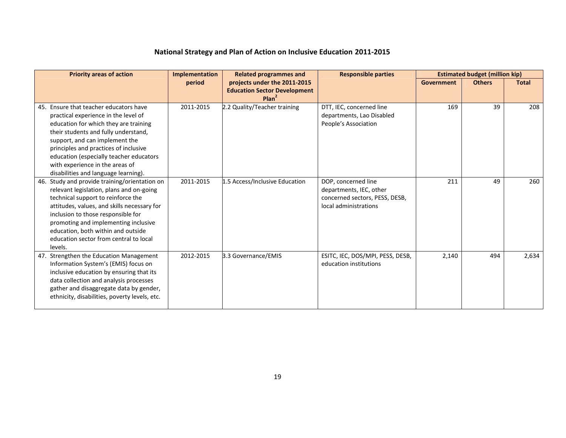| <b>Priority areas of action</b>                                                                                                                                                                                                                                                                                                                                  | Implementation | <b>Related programmes and</b>                                                            | <b>Responsible parties</b>                                                                                |                   | <b>Estimated budget (million kip)</b> |              |
|------------------------------------------------------------------------------------------------------------------------------------------------------------------------------------------------------------------------------------------------------------------------------------------------------------------------------------------------------------------|----------------|------------------------------------------------------------------------------------------|-----------------------------------------------------------------------------------------------------------|-------------------|---------------------------------------|--------------|
|                                                                                                                                                                                                                                                                                                                                                                  | period         | projects under the 2011-2015<br><b>Education Sector Development</b><br>Plan <sup>2</sup> |                                                                                                           | <b>Government</b> | <b>Others</b>                         | <b>Total</b> |
| 45. Ensure that teacher educators have<br>practical experience in the level of<br>education for which they are training<br>their students and fully understand,<br>support, and can implement the<br>principles and practices of inclusive<br>education (especially teacher educators<br>with experience in the areas of<br>disabilities and language learning). | 2011-2015      | 2.2 Quality/Teacher training                                                             | DTT. IEC. concerned line<br>departments, Lao Disabled<br>People's Association                             | 169               | 39                                    | 208          |
| 46. Study and provide training/orientation on<br>relevant legislation, plans and on-going<br>technical support to reinforce the<br>attitudes, values, and skills necessary for<br>inclusion to those responsible for<br>promoting and implementing inclusive<br>education, both within and outside<br>education sector from central to local<br>levels.          | 2011-2015      | 1.5 Access/Inclusive Education                                                           | DOP, concerned line<br>departments, IEC, other<br>concerned sectors, PESS, DESB,<br>local administrations | 211               | 49                                    | 260          |
| 47. Strengthen the Education Management<br>Information System's (EMIS) focus on<br>inclusive education by ensuring that its<br>data collection and analysis processes<br>gather and disaggregate data by gender,<br>ethnicity, disabilities, poverty levels, etc.                                                                                                | 2012-2015      | 3.3 Governance/EMIS                                                                      | ESITC, IEC, DOS/MPI, PESS, DESB,<br>education institutions                                                | 2,140             | 494                                   | 2,634        |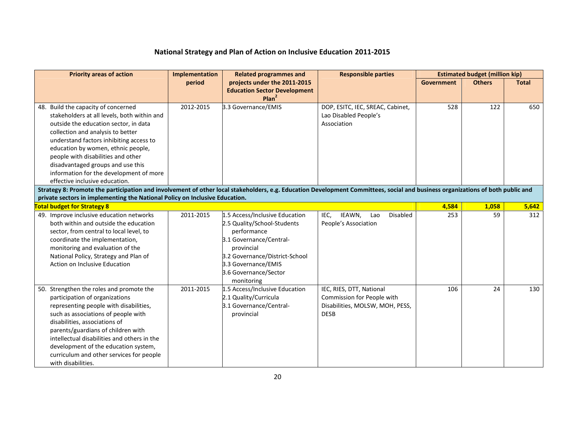| <b>Priority areas of action</b>                                                                                                                                                                                                                                                                                                                                                                           | Implementation | <b>Related programmes and</b>                                                                                                                                                                                         | <b>Responsible parties</b>                                                                               |                   | <b>Estimated budget (million kip)</b> |              |
|-----------------------------------------------------------------------------------------------------------------------------------------------------------------------------------------------------------------------------------------------------------------------------------------------------------------------------------------------------------------------------------------------------------|----------------|-----------------------------------------------------------------------------------------------------------------------------------------------------------------------------------------------------------------------|----------------------------------------------------------------------------------------------------------|-------------------|---------------------------------------|--------------|
|                                                                                                                                                                                                                                                                                                                                                                                                           | period         | projects under the 2011-2015<br><b>Education Sector Development</b><br>Plan <sup>2</sup>                                                                                                                              |                                                                                                          | <b>Government</b> | <b>Others</b>                         | <b>Total</b> |
| 48. Build the capacity of concerned<br>stakeholders at all levels, both within and<br>outside the education sector, in data<br>collection and analysis to better<br>understand factors inhibiting access to<br>education by women, ethnic people,<br>people with disabilities and other<br>disadvantaged groups and use this<br>information for the development of more<br>effective inclusive education. | 2012-2015      | 3.3 Governance/EMIS                                                                                                                                                                                                   | DOP, ESITC, IEC, SREAC, Cabinet,<br>Lao Disabled People's<br>Association                                 | 528               | 122                                   | 650          |
| Strategy 8: Promote the participation and involvement of other local stakeholders, e.g. Education Development Committees, social and business organizations of both public and                                                                                                                                                                                                                            |                |                                                                                                                                                                                                                       |                                                                                                          |                   |                                       |              |
| private sectors in implementing the National Policy on Inclusive Education.                                                                                                                                                                                                                                                                                                                               |                |                                                                                                                                                                                                                       |                                                                                                          |                   |                                       |              |
| <b>Total budget for Strategy 8</b>                                                                                                                                                                                                                                                                                                                                                                        |                |                                                                                                                                                                                                                       |                                                                                                          | 4,584             | 1,058                                 | 5,642        |
| 49. Improve inclusive education networks<br>both within and outside the education<br>sector, from central to local level, to<br>coordinate the implementation,<br>monitoring and evaluation of the<br>National Policy, Strategy and Plan of<br>Action on Inclusive Education                                                                                                                              | 2011-2015      | 1.5 Access/Inclusive Education<br>2.5 Quality/School-Students<br>performance<br>3.1 Governance/Central-<br>provincial<br>3.2 Governance/District-School<br>3.3 Governance/EMIS<br>3.6 Governance/Sector<br>monitoring | IEAWN,<br>Disabled<br>IEC,<br>Lao<br>People's Association                                                | 253               | 59                                    | 312          |
| 50. Strengthen the roles and promote the<br>participation of organizations<br>representing people with disabilities,<br>such as associations of people with<br>disabilities, associations of<br>parents/guardians of children with<br>intellectual disabilities and others in the<br>development of the education system,<br>curriculum and other services for people<br>with disabilities.               | 2011-2015      | 1.5 Access/Inclusive Education<br>2.1 Quality/Curricula<br>3.1 Governance/Central-<br>provincial                                                                                                                      | IEC, RIES, DTT, National<br>Commission for People with<br>Disabilities, MOLSW, MOH, PESS,<br><b>DESB</b> | 106               | 24                                    | 130          |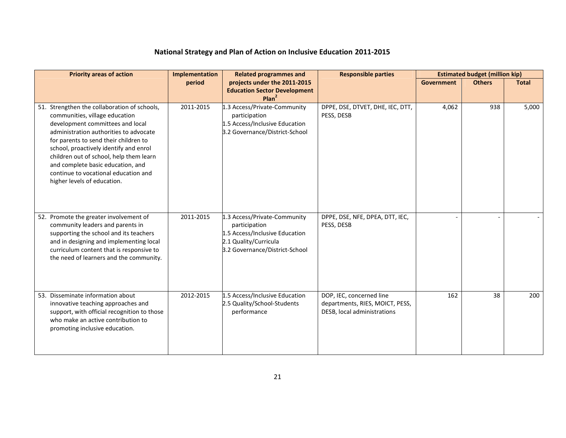| <b>Priority areas of action</b>                                                                                                                                                                                                                                                                                                                                                                        | Implementation | <b>Related programmes and</b>                                                                                                              | <b>Responsible parties</b>                                                                 |            | <b>Estimated budget (million kip)</b> |              |
|--------------------------------------------------------------------------------------------------------------------------------------------------------------------------------------------------------------------------------------------------------------------------------------------------------------------------------------------------------------------------------------------------------|----------------|--------------------------------------------------------------------------------------------------------------------------------------------|--------------------------------------------------------------------------------------------|------------|---------------------------------------|--------------|
|                                                                                                                                                                                                                                                                                                                                                                                                        | period         | projects under the 2011-2015<br><b>Education Sector Development</b><br>Plan <sup>2</sup>                                                   |                                                                                            | Government | <b>Others</b>                         | <b>Total</b> |
| 51. Strengthen the collaboration of schools,<br>communities, village education<br>development committees and local<br>administration authorities to advocate<br>for parents to send their children to<br>school, proactively identify and enrol<br>children out of school, help them learn<br>and complete basic education, and<br>continue to vocational education and<br>higher levels of education. | 2011-2015      | 1.3 Access/Private-Community<br>participation<br>1.5 Access/Inclusive Education<br>3.2 Governance/District-School                          | DPPE, DSE, DTVET, DHE, IEC, DTT,<br>PESS, DESB                                             | 4,062      | 938                                   | 5,000        |
| 52. Promote the greater involvement of<br>community leaders and parents in<br>supporting the school and its teachers<br>and in designing and implementing local<br>curriculum content that is responsive to<br>the need of learners and the community.                                                                                                                                                 | 2011-2015      | 1.3 Access/Private-Community<br>participation<br>1.5 Access/Inclusive Education<br>2.1 Quality/Curricula<br>3.2 Governance/District-School | DPPE, DSE, NFE, DPEA, DTT, IEC,<br>PESS, DESB                                              |            |                                       |              |
| 53. Disseminate information about<br>innovative teaching approaches and<br>support, with official recognition to those<br>who make an active contribution to<br>promoting inclusive education.                                                                                                                                                                                                         | 2012-2015      | 1.5 Access/Inclusive Education<br>2.5 Quality/School-Students<br>performance                                                               | DOP, IEC, concerned line<br>departments, RIES, MOICT, PESS,<br>DESB, local administrations | 162        | 38                                    | 200          |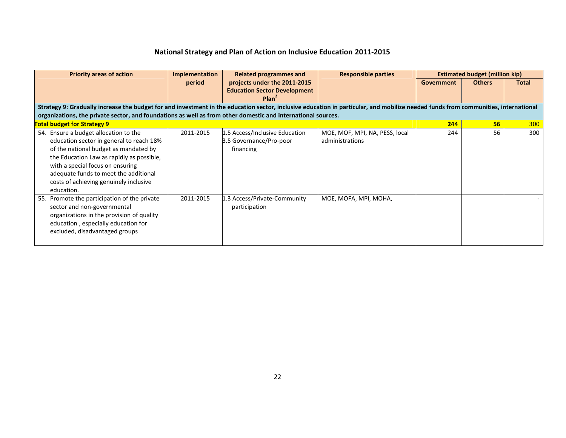| <b>Priority areas of action</b>                                                                                                                                                                                                                                                                              | <b>Implementation</b> | <b>Related programmes and</b>                                          | <b>Responsible parties</b>                        |                   | <b>Estimated budget (million kip)</b> |              |
|--------------------------------------------------------------------------------------------------------------------------------------------------------------------------------------------------------------------------------------------------------------------------------------------------------------|-----------------------|------------------------------------------------------------------------|---------------------------------------------------|-------------------|---------------------------------------|--------------|
|                                                                                                                                                                                                                                                                                                              | period                | projects under the 2011-2015                                           |                                                   | <b>Government</b> | <b>Others</b>                         | <b>Total</b> |
|                                                                                                                                                                                                                                                                                                              |                       | <b>Education Sector Development</b>                                    |                                                   |                   |                                       |              |
|                                                                                                                                                                                                                                                                                                              |                       | Plan <sup>2</sup>                                                      |                                                   |                   |                                       |              |
| Strategy 9: Gradually increase the budget for and investment in the education sector, inclusive education in particular, and mobilize needed funds from communities, international                                                                                                                           |                       |                                                                        |                                                   |                   |                                       |              |
| organizations, the private sector, and foundations as well as from other domestic and international sources.                                                                                                                                                                                                 |                       |                                                                        |                                                   |                   |                                       |              |
| <b>Total budget for Strategy 9</b>                                                                                                                                                                                                                                                                           |                       |                                                                        |                                                   | 244               | 56 <sub>2</sub>                       | 300          |
| 54. Ensure a budget allocation to the<br>education sector in general to reach 18%<br>of the national budget as mandated by<br>the Education Law as rapidly as possible,<br>with a special focus on ensuring<br>adequate funds to meet the additional<br>costs of achieving genuinely inclusive<br>education. | 2011-2015             | 1.5 Access/Inclusive Education<br>3.5 Governance/Pro-poor<br>financing | MOE, MOF, MPI, NA, PESS, local<br>administrations | 244               | 56                                    | 300          |
| 55. Promote the participation of the private<br>sector and non-governmental<br>organizations in the provision of quality<br>education, especially education for<br>excluded, disadvantaged groups                                                                                                            | 2011-2015             | 1.3 Access/Private-Community<br>participation                          | MOE, MOFA, MPI, MOHA,                             |                   |                                       |              |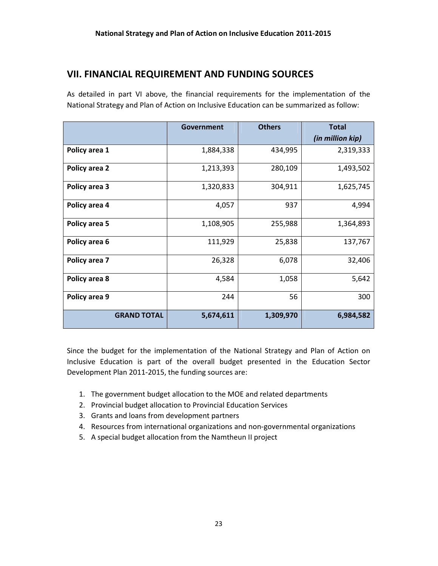## VII. FINANCIAL REQUIREMENT AND FUNDING SOURCES

As detailed in part VI above, the financial requirements for the implementation of the National Strategy and Plan of Action on Inclusive Education can be summarized as follow:

|                    | Government | <b>Others</b> | <b>Total</b><br>(in million kip) |
|--------------------|------------|---------------|----------------------------------|
| Policy area 1      | 1,884,338  | 434,995       | 2,319,333                        |
| Policy area 2      | 1,213,393  | 280,109       | 1,493,502                        |
| Policy area 3      | 1,320,833  | 304,911       | 1,625,745                        |
| Policy area 4      | 4,057      | 937           | 4,994                            |
| Policy area 5      | 1,108,905  | 255,988       | 1,364,893                        |
| Policy area 6      | 111,929    | 25,838        | 137,767                          |
| Policy area 7      | 26,328     | 6,078         | 32,406                           |
| Policy area 8      | 4,584      | 1,058         | 5,642                            |
| Policy area 9      | 244        | 56            | 300                              |
| <b>GRAND TOTAL</b> | 5,674,611  | 1,309,970     | 6,984,582                        |

Since the budget for the implementation of the National Strategy and Plan of Action on Inclusive Education is part of the overall budget presented in the Education Sector Development Plan 2011-2015, the funding sources are:

- 1. The government budget allocation to the MOE and related departments
- 2. Provincial budget allocation to Provincial Education Services
- 3. Grants and loans from development partners
- 4. Resources from international organizations and non-governmental organizations
- 5. A special budget allocation from the Namtheun II project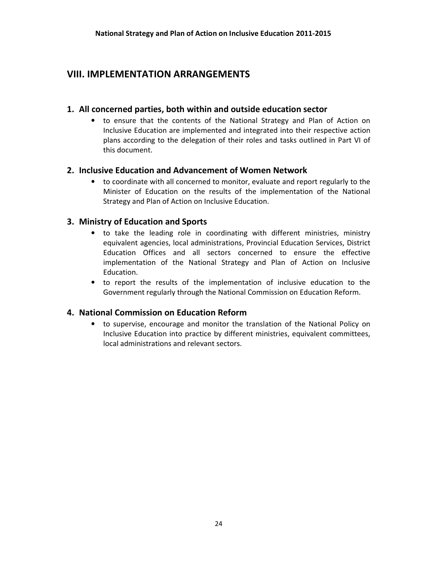## VIII. IMPLEMENTATION ARRANGEMENTS

#### 1. All concerned parties, both within and outside education sector

• to ensure that the contents of the National Strategy and Plan of Action on Inclusive Education are implemented and integrated into their respective action plans according to the delegation of their roles and tasks outlined in Part VI of this document.

#### 2. Inclusive Education and Advancement of Women Network

• to coordinate with all concerned to monitor, evaluate and report regularly to the Minister of Education on the results of the implementation of the National Strategy and Plan of Action on Inclusive Education.

#### 3. Ministry of Education and Sports

- to take the leading role in coordinating with different ministries, ministry equivalent agencies, local administrations, Provincial Education Services, District Education Offices and all sectors concerned to ensure the effective implementation of the National Strategy and Plan of Action on Inclusive Education.
- to report the results of the implementation of inclusive education to the Government regularly through the National Commission on Education Reform.

#### 4. National Commission on Education Reform

• to supervise, encourage and monitor the translation of the National Policy on Inclusive Education into practice by different ministries, equivalent committees, local administrations and relevant sectors.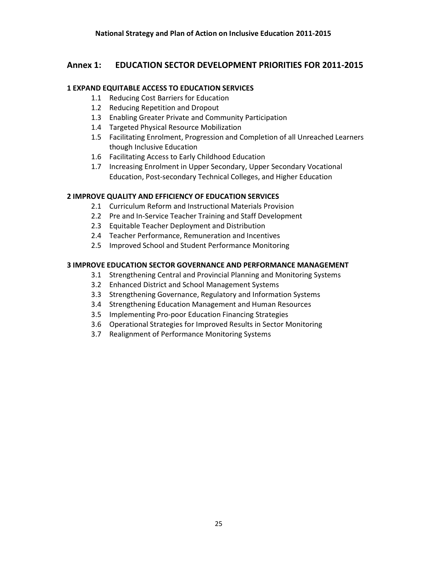#### Annex 1: EDUCATION SECTOR DEVELOPMENT PRIORITIES FOR 2011-2015

#### 1 EXPAND EQUITABLE ACCESS TO EDUCATION SERVICES

- 1.1 Reducing Cost Barriers for Education
- 1.2 Reducing Repetition and Dropout
- 1.3 Enabling Greater Private and Community Participation
- 1.4 Targeted Physical Resource Mobilization
- 1.5 Facilitating Enrolment, Progression and Completion of all Unreached Learners though Inclusive Education
- 1.6 Facilitating Access to Early Childhood Education
- 1.7 Increasing Enrolment in Upper Secondary, Upper Secondary Vocational Education, Post-secondary Technical Colleges, and Higher Education

#### 2 IMPROVE QUALITY AND EFFICIENCY OF EDUCATION SERVICES

- 2.1 Curriculum Reform and Instructional Materials Provision
- 2.2 Pre and In-Service Teacher Training and Staff Development
- 2.3 Equitable Teacher Deployment and Distribution
- 2.4 Teacher Performance, Remuneration and Incentives
- 2.5 Improved School and Student Performance Monitoring

#### 3 IMPROVE EDUCATION SECTOR GOVERNANCE AND PERFORMANCE MANAGEMENT

- 3.1 Strengthening Central and Provincial Planning and Monitoring Systems
- 3.2 Enhanced District and School Management Systems
- 3.3 Strengthening Governance, Regulatory and Information Systems
- 3.4 Strengthening Education Management and Human Resources
- 3.5 Implementing Pro-poor Education Financing Strategies
- 3.6 Operational Strategies for Improved Results in Sector Monitoring
- 3.7 Realignment of Performance Monitoring Systems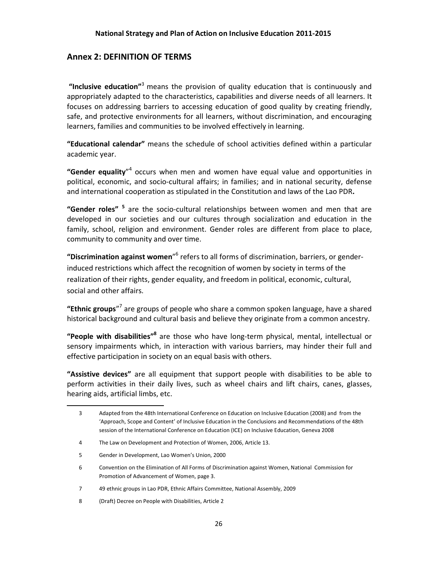#### Annex 2: DEFINITION OF TERMS

"Inclusive education"<sup>3</sup> means the provision of quality education that is continuously and appropriately adapted to the characteristics, capabilities and diverse needs of all learners. It focuses on addressing barriers to accessing education of good quality by creating friendly, safe, and protective environments for all learners, without discrimination, and encouraging learners, families and communities to be involved effectively in learning.

"Educational calendar" means the schedule of school activities defined within a particular academic year.

"Gender equality"<sup>4</sup> occurs when men and women have equal value and opportunities in political, economic, and socio-cultural affairs; in families; and in national security, defense and international cooperation as stipulated in the Constitution and laws of the Lao PDR.

"Gender roles" <sup>5</sup> are the socio-cultural relationships between women and men that are developed in our societies and our cultures through socialization and education in the family, school, religion and environment. Gender roles are different from place to place, community to community and over time.

"Discrimination against women"<sup>6</sup> refers to all forms of discrimination, barriers, or genderinduced restrictions which affect the recognition of women by society in terms of the realization of their rights, gender equality, and freedom in political, economic, cultural, social and other affairs.

"Ethnic groups"<sup>7</sup> are groups of people who share a common spoken language, have a shared historical background and cultural basis and believe they originate from a common ancestry.

"People with disabilities"<sup>8</sup> are those who have long-term physical, mental, intellectual or sensory impairments which, in interaction with various barriers, may hinder their full and effective participation in society on an equal basis with others.

"Assistive devices" are all equipment that support people with disabilities to be able to perform activities in their daily lives, such as wheel chairs and lift chairs, canes, glasses, hearing aids, artificial limbs, etc.

l,

<sup>3</sup> Adapted from the 48th International Conference on Education on Inclusive Education (2008) and from the 'Approach, Scope and Content' of Inclusive Education in the Conclusions and Recommendations of the 48th session of the International Conference on Education (ICE) on Inclusive Education, Geneva 2008

<sup>4</sup> The Law on Development and Protection of Women, 2006, Article 13.

<sup>5</sup> Gender in Development, Lao Women's Union, 2000

<sup>6</sup> Convention on the Elimination of All Forms of Discrimination against Women, National Commission for Promotion of Advancement of Women, page 3.

<sup>7 49</sup> ethnic groups in Lao PDR, Ethnic Affairs Committee, National Assembly, 2009

<sup>8 (</sup>Draft) Decree on People with Disabilities, Article 2